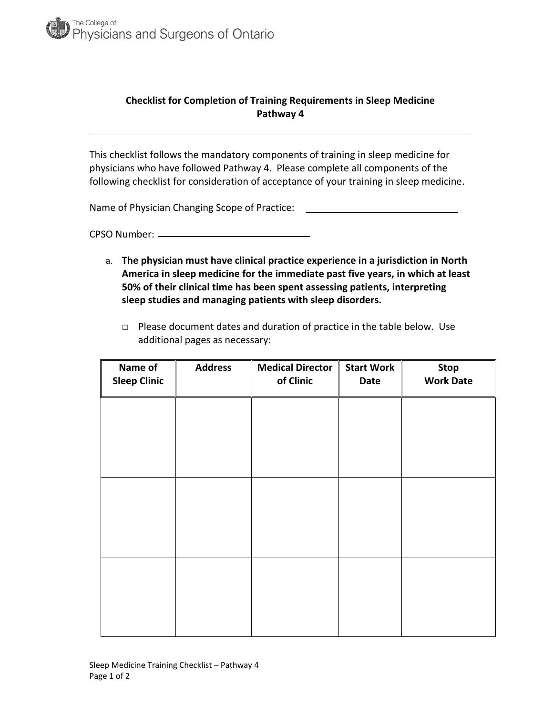

## **Checklist for Completion of Training Requirements in Sleep Medicine Pathway 4**

This checklist follows the mandatory components of training in sleep medicine for physicians who have followed Pathway 4. Please complete all components of the following checklist for consideration of acceptance of your training in sleep medicine.

Name of Physician Changing Scope of Practice:

CPSO Number:

- a. **The physician must have clinical practice experience in a jurisdiction in North America in sleep medicine for the immediate past five years, in which at least 50% of their clinical time has been spent assessing patients, interpreting sleep studies and managing patients with sleep disorders.**
	- □ Please document dates and duration of practice in the table below. Use additional pages as necessary:

| Name of<br><b>Sleep Clinic</b> | <b>Address</b> | <b>Medical Director</b><br>of Clinic | <b>Start Work</b><br><b>Date</b> | <b>Stop</b><br><b>Work Date</b> |
|--------------------------------|----------------|--------------------------------------|----------------------------------|---------------------------------|
|                                |                |                                      |                                  |                                 |
|                                |                |                                      |                                  |                                 |
|                                |                |                                      |                                  |                                 |
|                                |                |                                      |                                  |                                 |
|                                |                |                                      |                                  |                                 |
|                                |                |                                      |                                  |                                 |